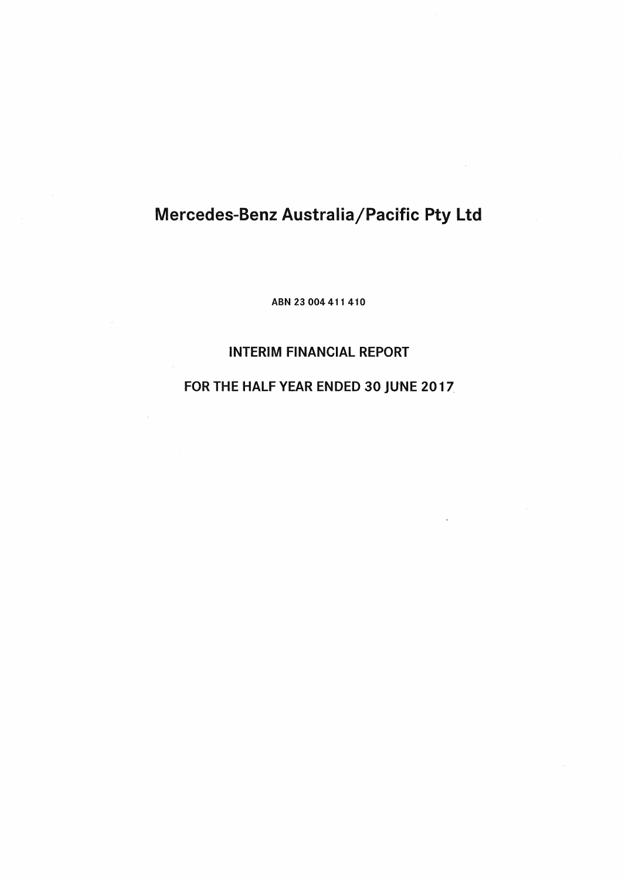# Mercedes-Benz Australia/Pacific Pty Ltd

ABN 23 004 411 410

# INTERIM FINANCIAL REPORT

# FOR THE HALF YEAR ENDED 30 JUNE 2017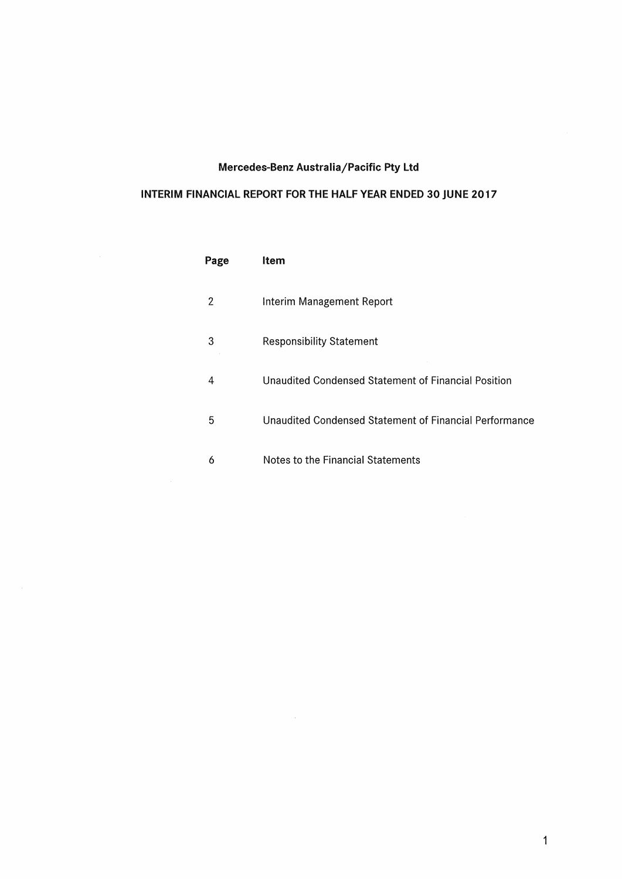# Mercedes-Benz Australia/Pacific Pty ltd

# INTERIM FINANCIAL REPORT FOR THE HALF YEAR ENDED 30 JUNE 2017

 $\sim$ 

| Page | ltem                                                   |
|------|--------------------------------------------------------|
| 2    | Interim Management Report                              |
| З    | <b>Responsibility Statement</b>                        |
| 4    | Unaudited Condensed Statement of Financial Position    |
| 5    | Unaudited Condensed Statement of Financial Performance |
| 6    | Notes to the Financial Statements                      |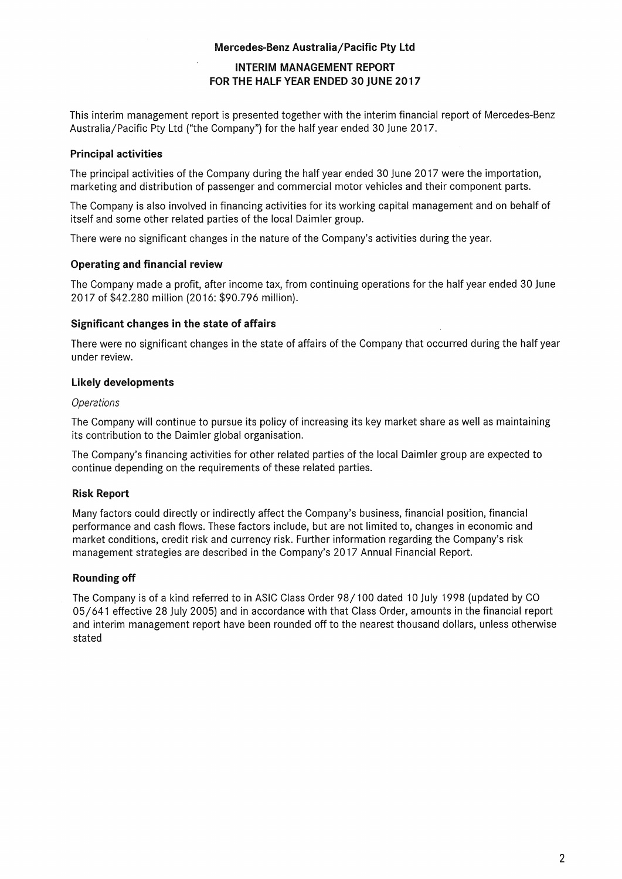## Mercedes-Benz Australia/Pacific Pty Ltd

# INTERIM MANAGEMENT REPORT FOR **THE** HALF YEAR ENDED 30 jUNE 2017

This interim management report is presented together with the interim financial report of Mercedes-Benz Australia/Pacific Pty Ltd ("the Company") for the half year ended 30 June 2017.

### Principal activities

The principal activities of the Company during the half year ended 30 June 2017 were the importation, marketing and distribution of passenger and commercial motor vehicles and their component parts.

The Company is also involved in financing activities for its working capital management and on behalf of itself and some other related parties of the local Daimler group.

There were no significant changes in the nature of the Company's activities during the year.

### Operating and financial review

The Company made a profit, after income tax, from continuing operations for the half year ended 30 June 2017 of \$42.280 million (20 16: \$90.796 million).

## Significant changes in the state of affairs

There were no significant changes in the state of affairs of the Company that occurred during the half year under review.

## Likely developments

#### **Operations**

The Company will continue to pursue its policy of increasing its key market share as well as maintaining its contribution to the Daimler global organisation.

The Company's financing activities for other related parties of the local Daimler group are expected to continue depending on the requirements of these related parties.

# Risk Report

Many factors could directly or indirectly affect the Company's business, financial position, financial performance and cash flows. These factors include, but are not limited to, changes in economic and market conditions, credit risk and currency risk. Further information regarding the Company's risk management strategies are described in the Company's 2017 Annual Financial Report.

# Rounding off

The Company is of a kind referred to in ASIC Class Order 98/100 dated 10 July 1998 (updated by CO 05/641 effective 28 July 2005) and in accordance with that Class Order, amounts in the financial report and interim management report have been rounded off to the nearest thousand dollars, unless otherwise stated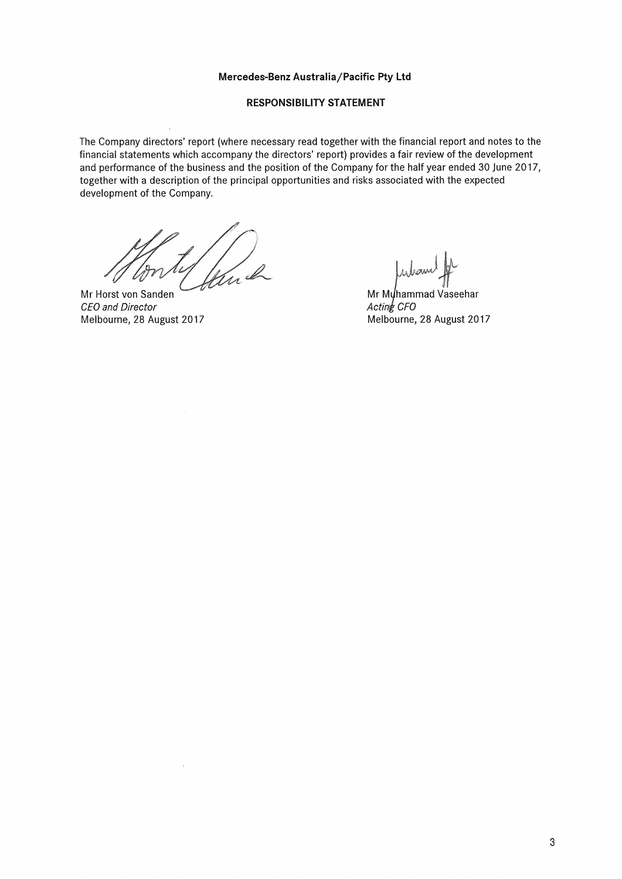#### Mercedes-Benz Australia/Pacific Pty **Ltd**

#### RESPONSIBILITY **STATEMENT**

The Company directors' report (where necessary read together with the financial report and notes to the financial statements which accompany the directors' report) provides a fair review of the development and performance of the business and the position of the Company for the half year ended 30 June 2017, together with a description of the principal opportunities and risks associated with the expected development of the Company.

n I

Mr Horst von Sanden CEO and Director Melbourne, 28 August 2017

 $\mu$ wenne  $\mathcal{H}$ 

Mr Muhammad Vaseehar  $Actin\&$  CFO Melbourne, 28 August 2017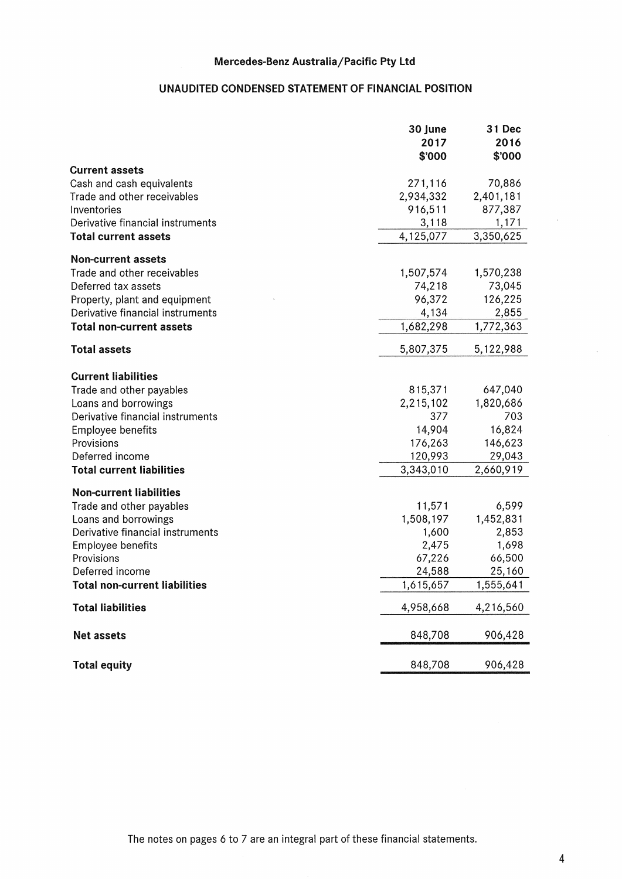# UNAUDITED CONDENSED STATEMENT OF FINANCIAL POSITION

|                                      | 30 June<br>2017<br>\$'000 | 31 Dec<br>2016<br>\$'000 |
|--------------------------------------|---------------------------|--------------------------|
| <b>Current assets</b>                |                           |                          |
| Cash and cash equivalents            | 271,116                   | 70,886                   |
| Trade and other receivables          | 2,934,332                 | 2,401,181                |
| Inventories                          | 916,511                   | 877,387                  |
| Derivative financial instruments     | 3,118                     | 1,171                    |
| <b>Total current assets</b>          | 4,125,077                 | 3,350,625                |
| <b>Non-current assets</b>            |                           |                          |
| Trade and other receivables          | 1,507,574                 | 1,570,238                |
| Deferred tax assets                  | 74,218                    | 73,045                   |
| Property, plant and equipment        | 96,372                    | 126,225                  |
| Derivative financial instruments     | 4,134                     | 2,855                    |
| <b>Total non-current assets</b>      | 1,682,298                 | 1,772,363                |
| <b>Total assets</b>                  | 5,807,375                 | 5,122,988                |
| <b>Current liabilities</b>           |                           |                          |
| Trade and other payables             | 815,371                   | 647,040                  |
| Loans and borrowings                 | 2,215,102                 | 1,820,686                |
| Derivative financial instruments     | 377                       | 703                      |
| <b>Employee benefits</b>             | 14,904                    | 16,824                   |
| Provisions                           | 176,263                   | 146,623                  |
| Deferred income                      | 120,993                   | 29,043                   |
| <b>Total current liabilities</b>     | 3,343,010                 | 2,660,919                |
| <b>Non-current liabilities</b>       |                           |                          |
| Trade and other payables             | 11,571                    | 6,599                    |
| Loans and borrowings                 | 1,508,197                 | 1,452,831                |
| Derivative financial instruments     | 1,600                     | 2,853                    |
| Employee benefits                    | 2,475                     | 1,698                    |
| Provisions                           | 67,226                    | 66,500                   |
| Deferred income                      | 24,588                    | 25,160                   |
| <b>Total non-current liabilities</b> | 1,615,657                 | 1,555,641                |
| <b>Total liabilities</b>             | 4,958,668                 | 4,216,560                |
| Net assets                           | 848,708                   | 906,428                  |
| <b>Total equity</b>                  | 848,708                   | 906,428                  |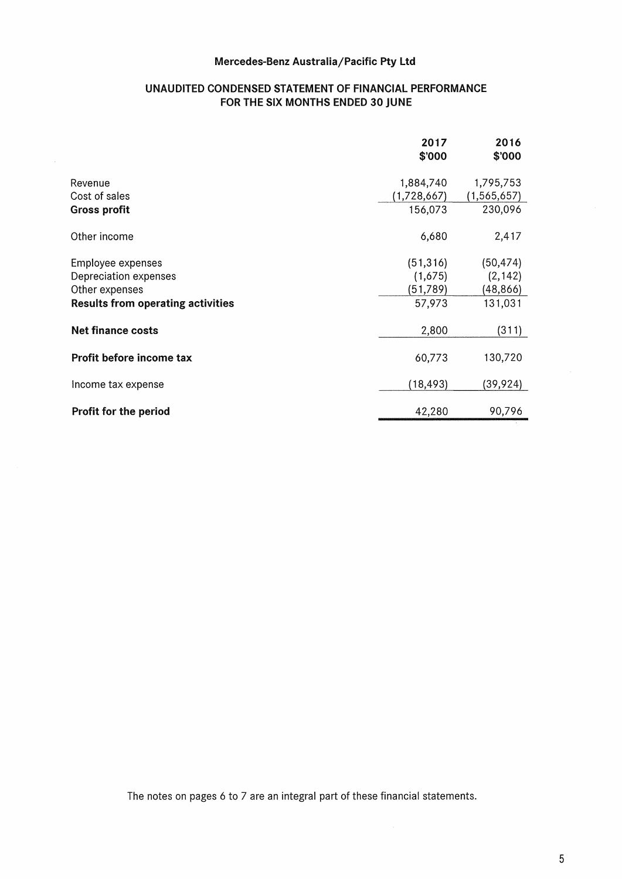# Mercedes-Benz Australia/Pacific Pty ltd

# UNAUDITED CONDENSED STATEMENT OF FINANCIAL PERFORMANCE FOR THE SIX MONTHS ENDED 30 JUNE

|                                          | 2017<br>\$'000 | 2016<br>\$'000 |
|------------------------------------------|----------------|----------------|
| Revenue                                  | 1,884,740      | 1,795,753      |
| Cost of sales                            | (1,728,667)    | (1, 565, 657)  |
| <b>Gross profit</b>                      | 156,073        | 230,096        |
| Other income                             | 6,680          | 2,417          |
| Employee expenses                        | (51, 316)      | (50, 474)      |
| Depreciation expenses                    | (1,675)        | (2, 142)       |
| Other expenses                           | (51, 789)      | (48, 866)      |
| <b>Results from operating activities</b> | 57,973         | 131,031        |
| <b>Net finance costs</b>                 | 2,800          | (311)          |
| Profit before income tax                 | 60,773         | 130,720        |
| Income tax expense                       | (18, 493)      | (39,924)       |
| Profit for the period                    | 42,280         | 90,796         |

The notes on pages 6 to 7 are an integral part of these financial statements.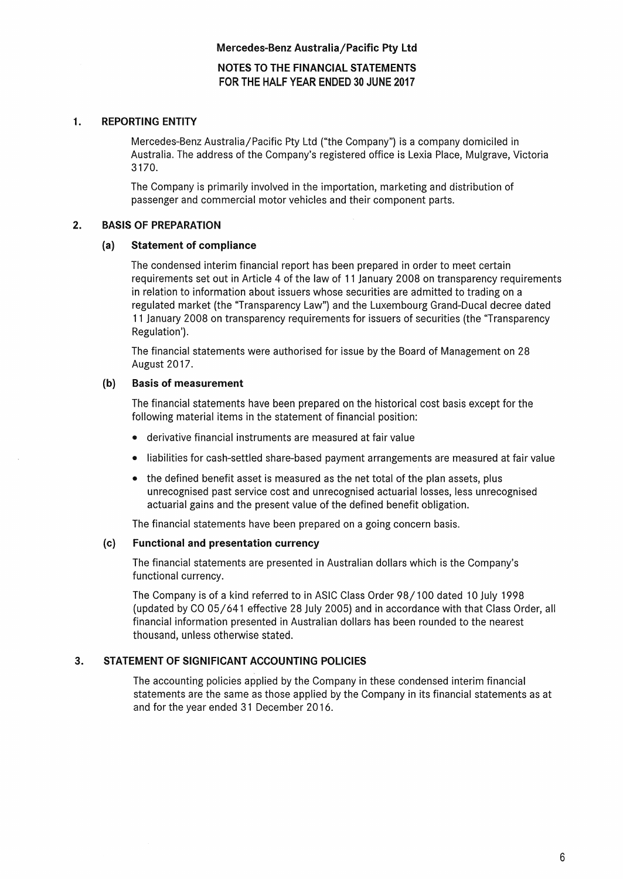NOTES TO THE FINANCIAL STATEMENTS FOR THE HALF YEAR ENDED 30 JUNE 2017

### 1. REPORTING ENTITY

Mercedes-Benz Australia/Pacific Pty Ltd ("the Company") is a company domiciled in Australia. The address of the Company's registered office is Lexia Place, Mulgrave, Victoria 3170.

The Company is primarily involved in the importation, marketing and distribution of passenger and commercial motor vehicles and their component parts.

#### 2. BASIS OF PREPARATION

#### (a} Statement of compliance

The condensed interim financial report has been prepared in order to meet certain requirements set out in Article 4 of the law of 11 January 2008 on transparency requirements in relation to information about issuers whose securities are admitted to trading on a regulated market (the "Transparency Law") and the Luxembourg Grand-Ducal decree dated 11 January 2008 on transparency requirements for issuers of securities (the 'Transparency Regulation').

The financial statements were authorised for issue by the Board of Management on 28 August 2017.

#### (b) Basis of measurement

The financial statements have been prepared on the historical cost basis except for the following material items in the statement of financial position:

- derivative financial instruments are measured at fair value
- liabilities for cash-settled share-based payment arrangements are measured at fair value
- the defined benefit asset is measured as the net total of the plan assets, plus unrecognised past service cost and unrecognised actuarial losses, less unrecognised actuarial gains and the present value of the defined benefit obligation.

The financial statements have been prepared on a going concern basis.

#### (c) Functional and presentation currency

The financial statements are presented in Australian dollars which is the Company's functional currency.

The Company is of a kind referred to in ASIC Class Order 98/100 dated 10 July 1998 (updated by CO 05/641 effective 28 July 2005) and in accordance with that Class Order, all financial information presented in Australian dollars has been rounded to the nearest thousand, unless otherwise stated.

## 3. STATEMENT Of SIGNIFICANT ACCOUNTING POLICIES

The accounting policies applied by the Company in these condensed interim financial statements are the same as those applied by the Company in its financial statements as at and for the year ended 31 December 2016.